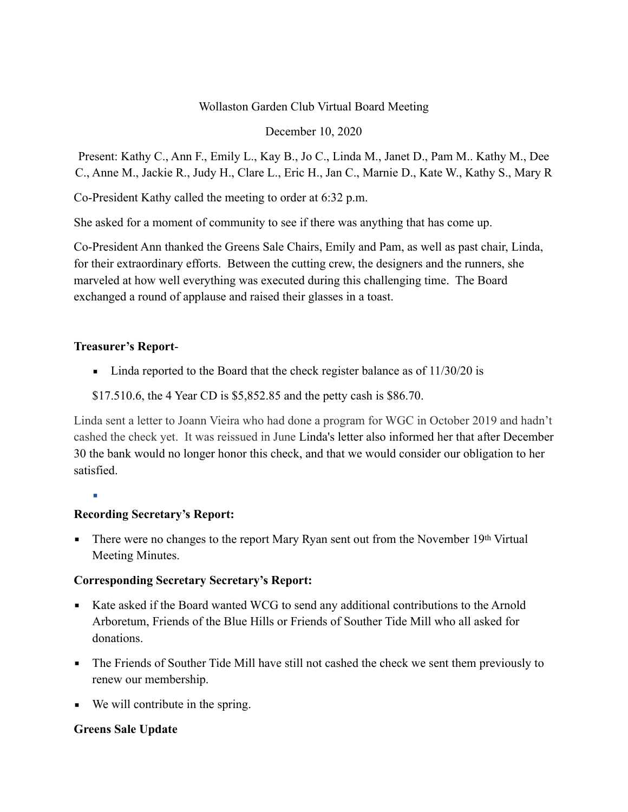## Wollaston Garden Club Virtual Board Meeting

### December 10, 2020

Present: Kathy C., Ann F., Emily L., Kay B., Jo C., Linda M., Janet D., Pam M.. Kathy M., Dee C., Anne M., Jackie R., Judy H., Clare L., Eric H., Jan C., Marnie D., Kate W., Kathy S., Mary R

Co-President Kathy called the meeting to order at 6:32 p.m.

She asked for a moment of community to see if there was anything that has come up.

Co-President Ann thanked the Greens Sale Chairs, Emily and Pam, as well as past chair, Linda, for their extraordinary efforts. Between the cutting crew, the designers and the runners, she marveled at how well everything was executed during this challenging time. The Board exchanged a round of applause and raised their glasses in a toast.

## **Treasurer's Report**-

• Linda reported to the Board that the check register balance as of 11/30/20 is

\$17.510.6, the 4 Year CD is \$5,852.85 and the petty cash is \$86.70.

Linda sent a letter to Joann Vieira who had done a program for WGC in October 2019 and hadn't cashed the check yet. It was reissued in June Linda's letter also informed her that after December 30 the bank would no longer honor this check, and that we would consider our obligation to her satisfied.

▪

# **Recording Secretary's Report:**

**•** There were no changes to the report Mary Ryan sent out from the November 19th Virtual Meeting Minutes.

# **Corresponding Secretary Secretary's Report:**

- Kate asked if the Board wanted WCG to send any additional contributions to the Arnold Arboretum, Friends of the Blue Hills or Friends of Souther Tide Mill who all asked for donations.
- The Friends of Souther Tide Mill have still not cashed the check we sent them previously to renew our membership.
- We will contribute in the spring.

# **Greens Sale Update**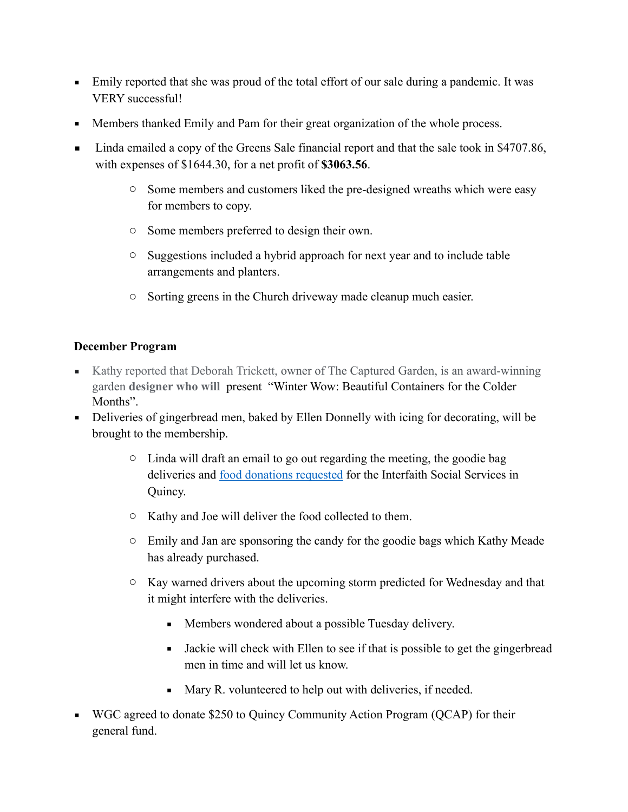- Emily reported that she was proud of the total effort of our sale during a pandemic. It was VERY successful!
- **Members thanked Emily and Pam for their great organization of the whole process.**
- Linda emailed a copy of the Greens Sale financial report and that the sale took in \$4707.86, with expenses of \$1644.30, for a net profit of **\$3063.56**.
	- o Some members and customers liked the pre-designed wreaths which were easy for members to copy.
	- o Some members preferred to design their own.
	- o Suggestions included a hybrid approach for next year and to include table arrangements and planters.
	- o Sorting greens in the Church driveway made cleanup much easier.

## **December Program**

- Kathy reported that Deborah Trickett, owner of The Captured Garden, is an award-winning garden **designer who will** present "Winter Wow: Beautiful Containers for the Colder Months".
- Deliveries of gingerbread men, baked by Ellen Donnelly with icing for decorating, will be brought to the membership.
	- o Linda will draft an email to go out regarding the meeting, the goodie bag deliveries and [food donations requested](https://interfaithsocialservices.org/wp-content/uploads/2020/08/food_drive.pdf) for the Interfaith Social Services in Quincy.
	- o Kathy and Joe will deliver the food collected to them.
	- o Emily and Jan are sponsoring the candy for the goodie bags which Kathy Meade has already purchased.
	- o Kay warned drivers about the upcoming storm predicted for Wednesday and that it might interfere with the deliveries.
		- Members wondered about a possible Tuesday delivery.
		- Jackie will check with Ellen to see if that is possible to get the gingerbread men in time and will let us know.
		- Mary R. volunteered to help out with deliveries, if needed.
- WGC agreed to donate \$250 to Quincy Community Action Program (QCAP) for their general fund.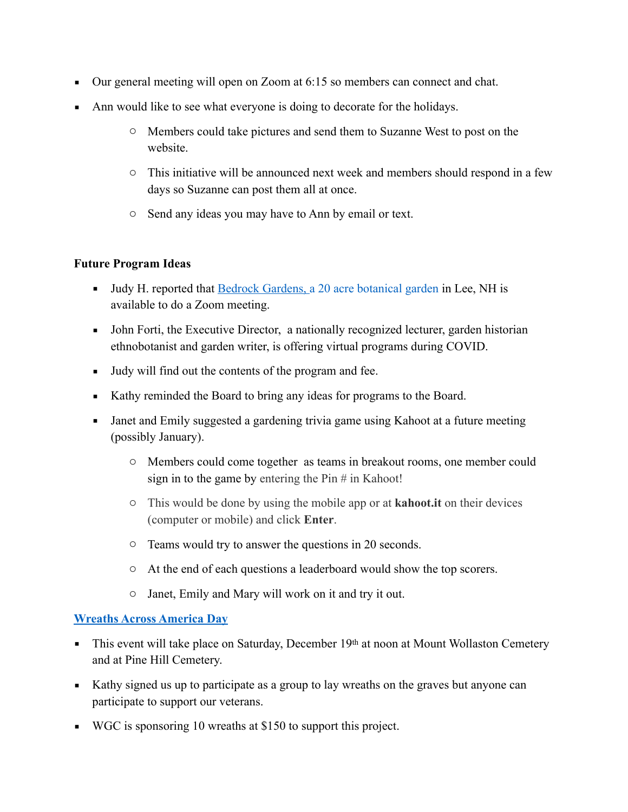- Our general meeting will open on Zoom at 6:15 so members can connect and chat.
- Ann would like to see what everyone is doing to decorate for the holidays.
	- o Members could take pictures and send them to Suzanne West to post on the website.
	- o This initiative will be announced next week and members should respond in a few days so Suzanne can post them all at once.
	- o Send any ideas you may have to Ann by email or text.

## **Future Program Ideas**

- Judy H. reported that [Bedrock Gardens,](https://www.bedrockgardens.org/) a 20 acre botanical garden in Lee, NH is available to do a Zoom meeting.
- John Forti, the Executive Director, a nationally recognized lecturer, garden historian ethnobotanist and garden writer, is offering virtual programs during COVID.
- Judy will find out the contents of the program and fee.
- Kathy reminded the Board to bring any ideas for programs to the Board.
- Janet and Emily suggested a gardening trivia game using Kahoot at a future meeting (possibly January).
	- o Members could come together as teams in breakout rooms, one member could sign in to the game by entering the  $\text{Pin}\#$  in Kahoot!
	- o This would be done by using the mobile app or at **kahoot.it** on their devices (computer or mobile) and click **Enter**.
	- o Teams would try to answer the questions in 20 seconds.
	- o At the end of each questions a leaderboard would show the top scorers.
	- o Janet, Emily and Mary will work on it and try it out.

## **[Wreaths Across America Day](https://www.wreathsacrossamerica.org/)**

- **•** This event will take place on Saturday, December 19th at noon at Mount Wollaston Cemetery and at Pine Hill Cemetery.
- Kathy signed us up to participate as a group to lay wreaths on the graves but anyone can participate to support our veterans.
- WGC is sponsoring 10 wreaths at \$150 to support this project.